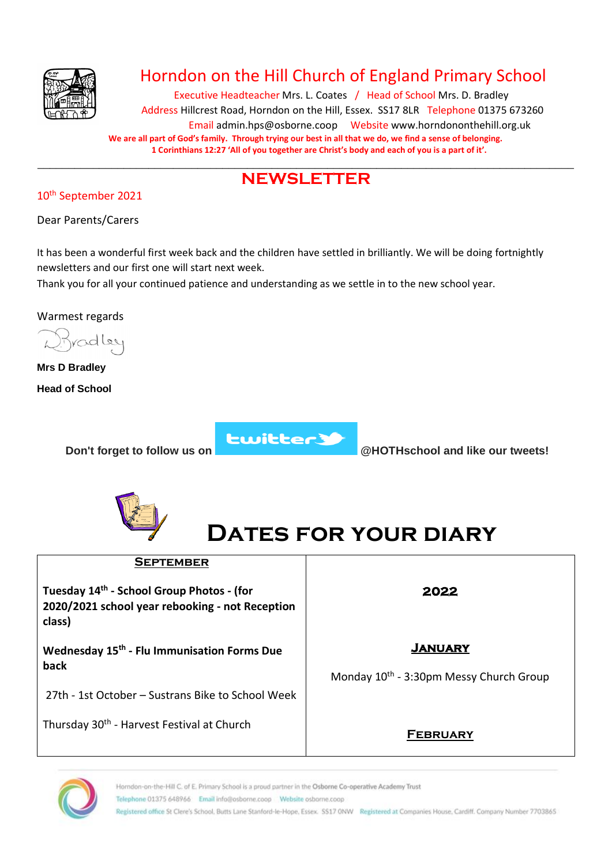

## Horndon on the Hill Church of England Primary School

Executive Headteacher Mrs. L. Coates / Head of School Mrs. D. Bradley Address Hillcrest Road, Horndon on the Hill, Essex. SS17 8LR Telephone 01375 673260 Email admin.hps@osborne.coop Websit[e www.horndononthehill.org.uk](http://www.horndononthehill.org.uk/) **We are all part of God's family. Through trying our best in all that we do, we find a sense of belonging. 1 Corinthians 12:27 'All of you together are Christ's body and each of you is a part of it'.**

#### \_\_\_\_\_\_\_\_\_\_\_\_\_\_\_\_\_\_\_\_\_\_\_\_\_\_\_\_\_\_\_\_\_\_\_\_\_\_\_\_\_\_\_\_\_\_\_\_\_\_\_\_\_\_\_\_\_\_\_\_\_\_\_\_\_\_\_\_\_\_\_\_\_\_\_\_\_\_\_\_\_\_\_\_\_\_\_ **NEWSLETTER**

#### 10th September 2021

Dear Parents/Carers

It has been a wonderful first week back and the children have settled in brilliantly. We will be doing fortnightly newsletters and our first one will start next week.

Thank you for all your continued patience and understanding as we settle in to the new school year.

Warmest regards

colley

**Mrs D Bradley Head of School**



**Don't forget to follow us on Don't forget to follow us on @HOTHschool** and like our tweets!





| <b>SEPTEMBER</b>                                                                                                   |                                                     |
|--------------------------------------------------------------------------------------------------------------------|-----------------------------------------------------|
| Tuesday 14 <sup>th</sup> - School Group Photos - (for<br>2020/2021 school year rebooking - not Reception<br>class) | 2022                                                |
| Wednesday 15 <sup>th</sup> - Flu Immunisation Forms Due                                                            | <b>JANUARY</b>                                      |
| back                                                                                                               | Monday 10 <sup>th</sup> - 3:30pm Messy Church Group |
| 27th - 1st October - Sustrans Bike to School Week                                                                  |                                                     |
| Thursday 30 <sup>th</sup> - Harvest Festival at Church                                                             | <b>FEBRUARY</b>                                     |

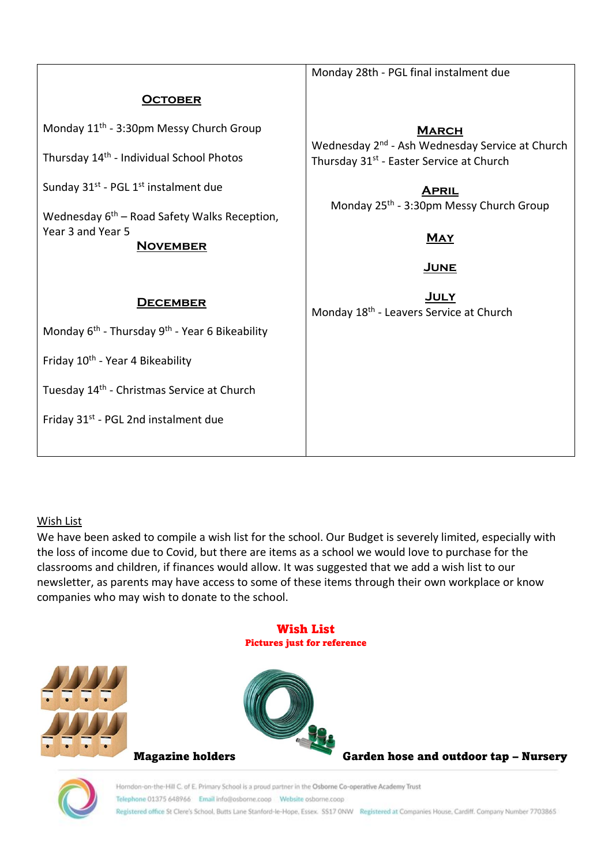|                                                                                        | Monday 28th - PGL final instalment due                                                                              |  |  |
|----------------------------------------------------------------------------------------|---------------------------------------------------------------------------------------------------------------------|--|--|
| <b>OCTOBER</b>                                                                         |                                                                                                                     |  |  |
| Monday 11 <sup>th</sup> - 3:30pm Messy Church Group                                    | <b>MARCH</b>                                                                                                        |  |  |
| Thursday 14 <sup>th</sup> - Individual School Photos                                   | Wednesday 2 <sup>nd</sup> - Ash Wednesday Service at Church<br>Thursday 31 <sup>st</sup> - Easter Service at Church |  |  |
| Sunday 31 <sup>st</sup> - PGL 1 <sup>st</sup> instalment due                           | <b>APRIL</b>                                                                                                        |  |  |
| Wednesday $6th$ – Road Safety Walks Reception,<br>Year 3 and Year 5<br><b>NOVEMBER</b> | Monday 25 <sup>th</sup> - 3:30pm Messy Church Group<br><b>MAY</b><br>JUNE                                           |  |  |
| <b>DECEMBER</b>                                                                        | <u>JULY</u><br>Monday 18 <sup>th</sup> - Leavers Service at Church                                                  |  |  |
| Monday 6 <sup>th</sup> - Thursday 9 <sup>th</sup> - Year 6 Bikeability                 |                                                                                                                     |  |  |
| Friday 10 <sup>th</sup> - Year 4 Bikeability                                           |                                                                                                                     |  |  |
| Tuesday 14 <sup>th</sup> - Christmas Service at Church                                 |                                                                                                                     |  |  |
| Friday 31 <sup>st</sup> - PGL 2nd instalment due                                       |                                                                                                                     |  |  |

#### Wish List

We have been asked to compile a wish list for the school. Our Budget is severely limited, especially with the loss of income due to Covid, but there are items as a school we would love to purchase for the classrooms and children, if finances would allow. It was suggested that we add a wish list to our newsletter, as parents may have access to some of these items through their own workplace or know companies who may wish to donate to the school.

#### Wish List Pictures just for reference





Magazine holders Garden hose and outdoor tap – Nursery

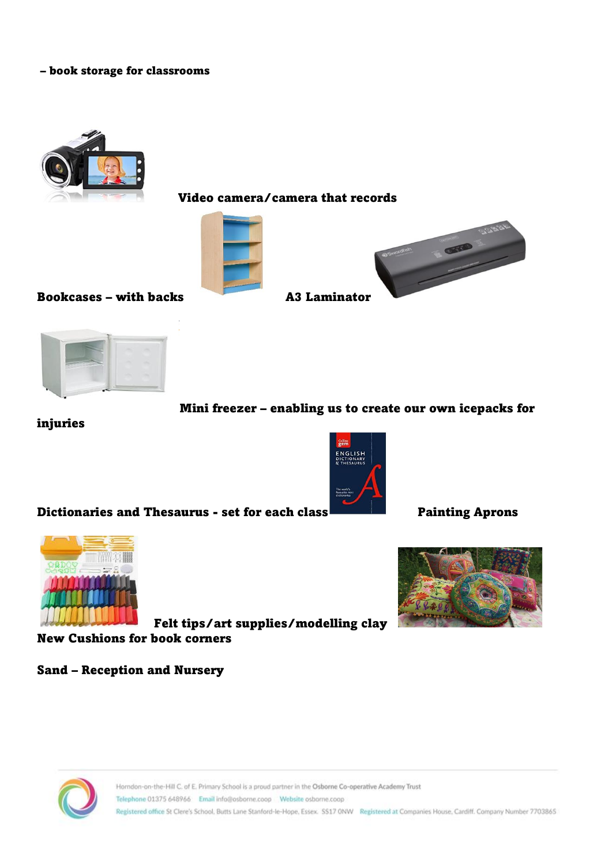#### – book storage for classrooms



Video camera/camera that records





#### Bookcases – with backs A3 Laminator



#### Mini freezer – enabling us to create our own icepacks for

#### injuries



Dictionaries and Thesaurus - set for each class Painting Aprons



Felt tips/art supplies/modelling clay

New Cushions for book corners

#### Sand – Reception and Nursery



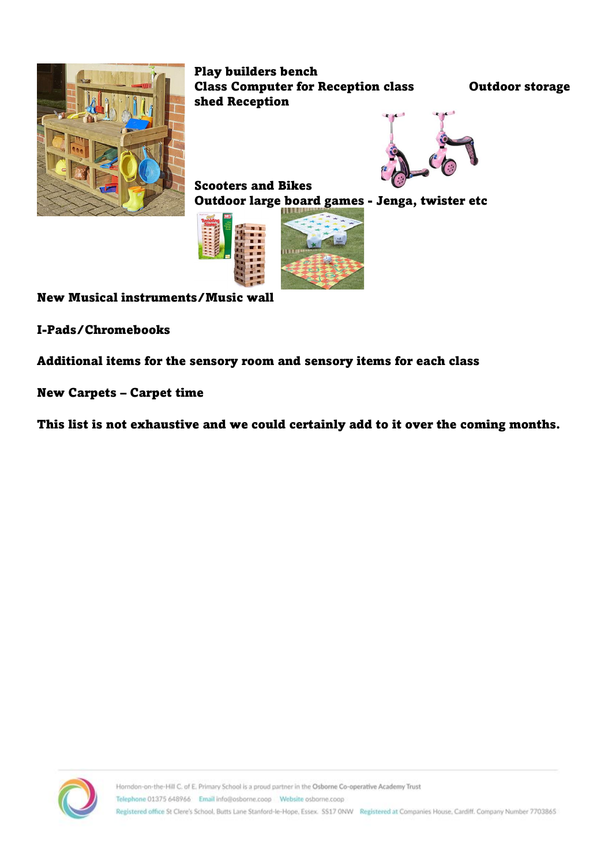

Play builders bench Class Computer for Reception class Outdoor storage shed Reception



Scooters and Bikes Outdoor large board games - Jenga, twister etc



New Musical instruments/Music wall

I-Pads/Chromebooks

Additional items for the sensory room and sensory items for each class

New Carpets – Carpet time

This list is not exhaustive and we could certainly add to it over the coming months.

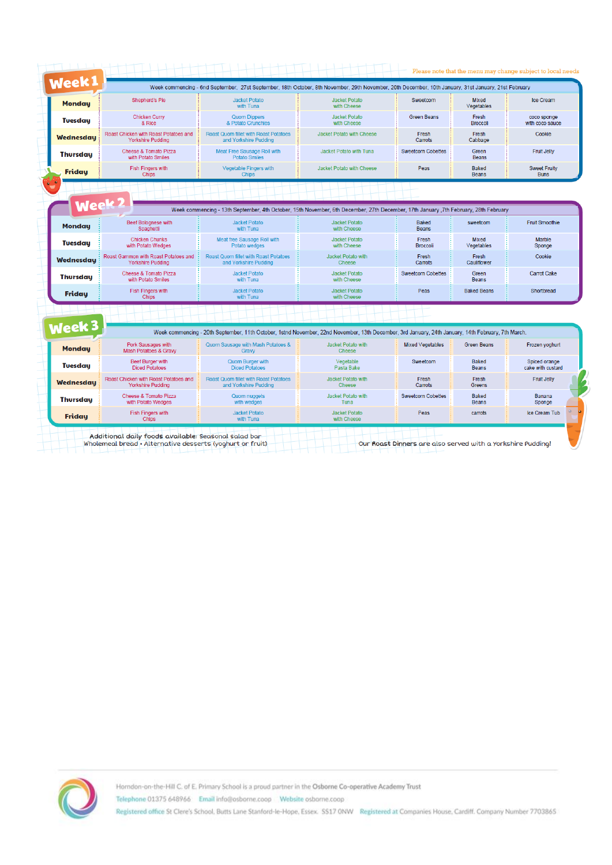| <b>Monday</b>    | <b>Shepherd's Pie</b>                                             | <b>Jacket Potato</b><br>with Tuna                                                                                                                  | <b>Jacket Potato</b><br>with Cheese | Sweetcom                  | Mixed<br>Vegetables        | <b>Ice Cream</b>                   |
|------------------|-------------------------------------------------------------------|----------------------------------------------------------------------------------------------------------------------------------------------------|-------------------------------------|---------------------------|----------------------------|------------------------------------|
| <b>Tuesday</b>   | <b>Chicken Curry</b><br>& Rice                                    | <b>Quom Dippers</b><br>& Potato Crunchies                                                                                                          | Jacket Potato<br>with Cheese        | <b>Green Beans</b>        | Fresh<br><b>Broccoli</b>   | coco sponge<br>with coco sauce     |
| <b>Wednesday</b> | Roast Chicken with Roast Potatoes and<br><b>Yorkshire Pudding</b> | Roast Quorn fillet with Roast Potatoes<br>and Yorkshire Pudding                                                                                    | <b>Jacket Potato with Cheese</b>    | Fresh<br>Carrots          | Fresh<br>Cabbage           | Cookie                             |
| <b>Thursday</b>  | Cheese & Tomato Pizza<br>with Potato Smiles                       | Meat Free Sausage Roll with<br><b>Potato Smiles</b>                                                                                                | Jacket Potato with Tuna             | <b>Sweetcorn Cobettes</b> | Green<br><b>Beans</b>      | <b>Fruit Jelly</b>                 |
| <b>Friday</b>    | <b>Fish Fingers with</b><br>Chips                                 | <b>Vegetable Fingers with</b><br><b>Chips</b>                                                                                                      | Jacket Potato with Cheese           | Peas                      | Baked<br><b>Beans</b>      | <b>Sweet Fruity</b><br><b>Buns</b> |
|                  |                                                                   |                                                                                                                                                    |                                     |                           |                            |                                    |
| Week             |                                                                   | Week commencing - 13th September, 4th October, 15th November, 6th December, 27th December, 17th January, 7th February, 28th February               |                                     |                           |                            |                                    |
| <b>Monday</b>    | <b>Beef Bolognese with</b><br>Spaghetti                           | <b>Jacket Potato</b><br>with Tuna                                                                                                                  | Jacket Potato<br>with Cheese        | Baked<br><b>Beans</b>     | sweetcom                   | <b>Fruit Smoothie</b>              |
| <b>Tuesday</b>   | <b>Chicken Chunks</b><br>with Potato Wedges                       | Meat free Sausage Roll with<br>Potato wedges                                                                                                       | <b>Jacket Potato</b><br>with Cheese | Fresh<br><b>Broccoli</b>  | <b>Mixed</b><br>Vegetables | Marble<br>Sponge                   |
| Wednesdau        | Roast Gammon with Roast Potatoes and<br><b>Yorkshire Pudding</b>  | <b>Roast Quorn fillet with Roast Potatoes</b><br>and Yorkshire Pudding                                                                             | Jacket Potato with<br><b>Cheese</b> | Fresh<br>Carrots          | Fresh<br>Cauliflower       | Cookie                             |
| <b>Thursday</b>  | Cheese & Tomato Pizza<br>with Potato Smiles                       | <b>Jacket Potato</b><br>with Tuna                                                                                                                  | Jacket Potato<br>with Cheese        | <b>Sweetcorn Cobettes</b> | Green<br><b>Beans</b>      | Carrot Cake                        |
| <b>Friday</b>    | <b>Fish Fingers with</b><br>Chips                                 | <b>Jacket Potato</b><br>with Tuna                                                                                                                  | Jacket Potato<br>with Cheese        | Peas                      | <b>Baked Beans</b>         | Shortbread                         |
|                  |                                                                   |                                                                                                                                                    |                                     |                           |                            |                                    |
| Week 3           |                                                                   | Week commencing - 20th September, 11th October, 1stnd November, 22nd November, 13th December, 3rd January, 24th January, 14th February, 7th March. |                                     |                           |                            |                                    |
| <b>Mondau</b>    | Pork Sausages with<br>Mash Potatoes & Gravy                       | Quorn Sausage with Mash Potatoes &<br>Graw                                                                                                         | Jacket Potato with<br><b>Cheese</b> | <b>Mixed Vegetables</b>   | <b>Green Beans</b>         | Frozen yoghurt                     |
| <b>Tuesday</b>   | <b>Beef Burger with</b><br><b>Diced Potatoes</b>                  | Quorn Burger with<br><b>Diced Potatoes</b>                                                                                                         | Vegetable<br>Pasta Bake             | Sweetcom                  | Baked<br><b>Beans</b>      | Spiced orange<br>cake with custard |
| <b>Wednesdau</b> | Roast Chicken with Roast Potatoes and<br><b>Yorkshire Pudding</b> | Roast Quorn fillet with Roast Potatoes<br>and Yorkshire Pudding                                                                                    | Jacket Potato with<br><b>Cheese</b> | Fresh<br>Carrots          | Fresh<br>Greens            | <b>Fruit Jelly</b>                 |
| <b>Thursday</b>  | Cheese & Tomato Pizza<br>with Potato Wedges                       | Quom nuggets<br>with wedges                                                                                                                        | Jacket Potato with<br>Tuna          | <b>Sweetcorn Cobettes</b> | Baked<br><b>Beans</b>      | <b>Banana</b><br>Sponge            |
| Friday           | Fish Fingers with<br><b>Chips</b>                                 | <b>Jacket Potato</b><br>with Tuna                                                                                                                  | <b>Jacket Potato</b><br>with Cheese | Peas                      | carrots                    | Ice Cream Tub                      |